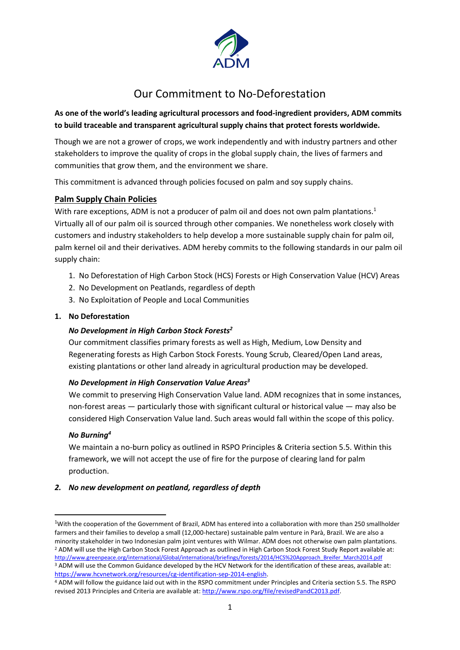

# Our Commitment to No-Deforestation

# **As one of the world's leading agricultural processors and food-ingredient providers, ADM commits to build traceable and transparent agricultural supply chains that protect forests worldwide.**

Though we are not a grower of crops, we work independently and with industry partners and other stakeholders to improve the quality of crops in the global supply chain, the lives of farmers and communities that grow them, and the environment we share.

This commitment is advanced through policies focused on palm and soy supply chains.

# **Palm Supply Chain Policies**

With rare exceptions, ADM is not a producer of palm oil and does not own palm plantations.<sup>1</sup> Virtually all of our palm oil is sourced through other companies. We nonetheless work closely with customers and industry stakeholders to help develop a more sustainable supply chain for palm oil, palm kernel oil and their derivatives. ADM hereby commits to the following standards in our palm oil supply chain:

- 1. No Deforestation of High Carbon Stock (HCS) Forests or High Conservation Value (HCV) Areas
- 2. No Development on Peatlands, regardless of depth
- 3. No Exploitation of People and Local Communities

### **1. No Deforestation**

#### *No Development in High Carbon Stock Forests<sup>2</sup>*

Our commitment classifies primary forests as well as High, Medium, Low Density and Regenerating forests as High Carbon Stock Forests. Young Scrub, Cleared/Open Land areas, existing plantations or other land already in agricultural production may be developed.

#### *No Development in High Conservation Value Areas<sup>3</sup>*

We commit to preserving High Conservation Value land. ADM recognizes that in some instances, non-forest areas — particularly those with significant cultural or historical value — may also be considered High Conservation Value land. Such areas would fall within the scope of this policy.

#### *No Burning<sup>4</sup>*

**.** 

We maintain a no-burn policy as outlined in RSPO Principles & Criteria section 5.5. Within this framework, we will not accept the use of fire for the purpose of clearing land for palm production.

#### *2. No new development on peatland, regardless of depth*

<sup>&</sup>lt;sup>1</sup>With the cooperation of the Government of Brazil, ADM has entered into a collaboration with more than 250 smallholder farmers and their families to develop a small (12,000-hectare) sustainable palm venture in Parà, Brazil. We are also a minority stakeholder in two Indonesian palm joint ventures with Wilmar. ADM does not otherwise own palm plantations. <sup>2</sup> ADM will use the High Carbon Stock Forest Approach as outlined in High Carbon Stock Forest Study Report available at: [http://www.greenpeace.org/international/Global/international/briefings/forests/2014/HCS%20Approach\\_Breifer\\_March2014.pdf](http://www.greenpeace.org/international/Global/international/briefings/forests/2014/HCS%20Approach_Breifer_March2014.pdf) <sup>3</sup> ADM will use the Common Guidance developed by the HCV Network for the identification of these areas, available at: [https://www.hcvnetwork.org/resources/cg-identification-sep-2014-english.](https://www.hcvnetwork.org/resources/cg-identification-sep-2014-english) 

<sup>4</sup> ADM will follow the guidance laid out with in the RSPO commitment under Principles and Criteria section 5.5. The RSPO revised 2013 Principles and Criteria are available at: [http://www.rspo.org/file/revisedPandC2013.pdf.](http://www.rspo.org/file/revisedPandC2013.pdf)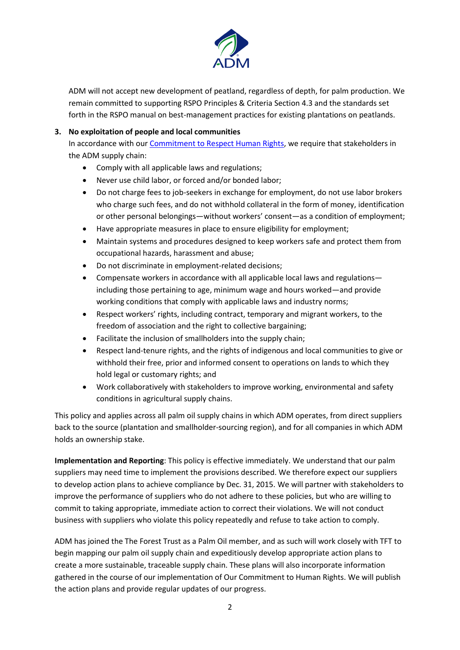

ADM will not accept new development of peatland, regardless of depth, for palm production. We remain committed to supporting RSPO Principles & Criteria Section 4.3 and the standards set forth in the RSPO manual on best-management practices for existing plantations on peatlands.

#### **3. No exploitation of people and local communities**

In accordance with our [Commitment to Respect Human Rights,](http://www.adm.com/en-US/company/Documents/HumanRights.pdf) we require that stakeholders in the ADM supply chain:

- Comply with all applicable laws and regulations;
- Never use child labor, or forced and/or bonded labor;
- Do not charge fees to job-seekers in exchange for employment, do not use labor brokers who charge such fees, and do not withhold collateral in the form of money, identification or other personal belongings—without workers' consent—as a condition of employment;
- Have appropriate measures in place to ensure eligibility for employment;
- Maintain systems and procedures designed to keep workers safe and protect them from occupational hazards, harassment and abuse;
- Do not discriminate in employment-related decisions;
- Compensate workers in accordance with all applicable local laws and regulations including those pertaining to age, minimum wage and hours worked—and provide working conditions that comply with applicable laws and industry norms;
- Respect workers' rights, including contract, temporary and migrant workers, to the freedom of association and the right to collective bargaining;
- Facilitate the inclusion of smallholders into the supply chain;
- Respect land-tenure rights, and the rights of indigenous and local communities to give or withhold their free, prior and informed consent to operations on lands to which they hold legal or customary rights; and
- Work collaboratively with stakeholders to improve working, environmental and safety conditions in agricultural supply chains.

This policy and applies across all palm oil supply chains in which ADM operates, from direct suppliers back to the source (plantation and smallholder-sourcing region), and for all companies in which ADM holds an ownership stake.

**Implementation and Reporting**: This policy is effective immediately. We understand that our palm suppliers may need time to implement the provisions described. We therefore expect our suppliers to develop action plans to achieve compliance by Dec. 31, 2015. We will partner with stakeholders to improve the performance of suppliers who do not adhere to these policies, but who are willing to commit to taking appropriate, immediate action to correct their violations. We will not conduct business with suppliers who violate this policy repeatedly and refuse to take action to comply.

ADM has joined the The Forest Trust as a Palm Oil member, and as such will work closely with TFT to begin mapping our palm oil supply chain and expeditiously develop appropriate action plans to create a more sustainable, traceable supply chain. These plans will also incorporate information gathered in the course of our implementation of Our Commitment to Human Rights. We will publish the action plans and provide regular updates of our progress.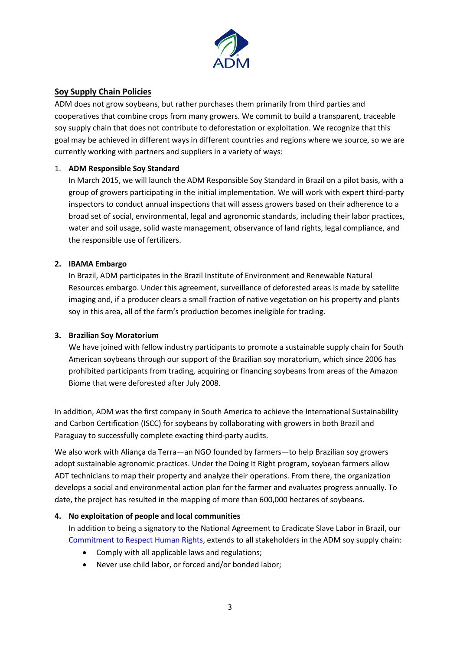

## **Soy Supply Chain Policies**

ADM does not grow soybeans, but rather purchases them primarily from third parties and cooperatives that combine crops from many growers. We commit to build a transparent, traceable soy supply chain that does not contribute to deforestation or exploitation. We recognize that this goal may be achieved in different ways in different countries and regions where we source, so we are currently working with partners and suppliers in a variety of ways:

#### 1. **ADM Responsible Soy Standard**

In March 2015, we will launch the ADM Responsible Soy Standard in Brazil on a pilot basis, with a group of growers participating in the initial implementation. We will work with expert third-party inspectors to conduct annual inspections that will assess growers based on their adherence to a broad set of social, environmental, legal and agronomic standards, including their labor practices, water and soil usage, solid waste management, observance of land rights, legal compliance, and the responsible use of fertilizers.

#### **2. IBAMA Embargo**

In Brazil, ADM participates in the Brazil Institute of Environment and Renewable Natural Resources embargo. Under this agreement, surveillance of deforested areas is made by satellite imaging and, if a producer clears a small fraction of native vegetation on his property and plants soy in this area, all of the farm's production becomes ineligible for trading.

#### **3. Brazilian Soy Moratorium**

We have joined with fellow industry participants to promote a sustainable supply chain for South American soybeans through our support of the Brazilian soy moratorium, which since 2006 has prohibited participants from trading, acquiring or financing soybeans from areas of the Amazon Biome that were deforested after July 2008.

In addition, ADM was the first company in South America to achieve the International Sustainability and Carbon Certification (ISCC) for soybeans by collaborating with growers in both Brazil and Paraguay to successfully complete exacting third-party audits.

We also work with Aliança da Terra—an NGO founded by farmers—to help Brazilian soy growers adopt sustainable agronomic practices. Under the Doing It Right program, soybean farmers allow ADT technicians to map their property and analyze their operations. From there, the organization develops a social and environmental action plan for the farmer and evaluates progress annually. To date, the project has resulted in the mapping of more than 600,000 hectares of soybeans.

#### **4. No exploitation of people and local communities**

In addition to being a signatory to the National Agreement to Eradicate Slave Labor in Brazil, our [Commitment to Respect Human Rights,](http://www.adm.com/en-US/company/Documents/HumanRights.pdf) extends to all stakeholders in the ADM soy supply chain:

- Comply with all applicable laws and regulations;
- Never use child labor, or forced and/or bonded labor;